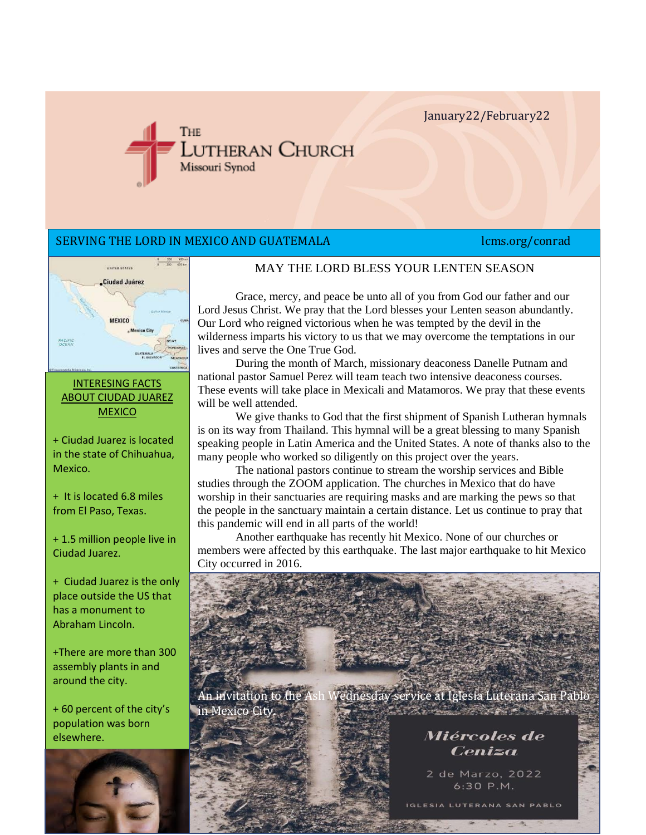January22/February22



## SERVING THE LORD IN MEXICO AND GUATEMALA News and the Conrad lcms.org/conrad



### MAY THE LORD BLESS YOUR LENTEN SEASON

Grace, mercy, and peace be unto all of you from God our father and our Lord Jesus Christ. We pray that the Lord blesses your Lenten season abundantly. Our Lord who reigned victorious when he was tempted by the devil in the wilderness imparts his victory to us that we may overcome the temptations in our lives and serve the One True God.

During the month of March, missionary deaconess Danelle Putnam and national pastor Samuel Perez will team teach two intensive deaconess courses. These events will take place in Mexicali and Matamoros. We pray that these events will be well attended.

We give thanks to God that the first shipment of Spanish Lutheran hymnals is on its way from Thailand. This hymnal will be a great blessing to many Spanish speaking people in Latin America and the United States. A note of thanks also to the many people who worked so diligently on this project over the years.

The national pastors continue to stream the worship services and Bible studies through the ZOOM application. The churches in Mexico that do have worship in their sanctuaries are requiring masks and are marking the pews so that the people in the sanctuary maintain a certain distance. Let us continue to pray that this pandemic will end in all parts of the world!

Another earthquake has recently hit Mexico. None of our churches or members were affected by this earthquake. The last major earthquake to hit Mexico City occurred in 2016.